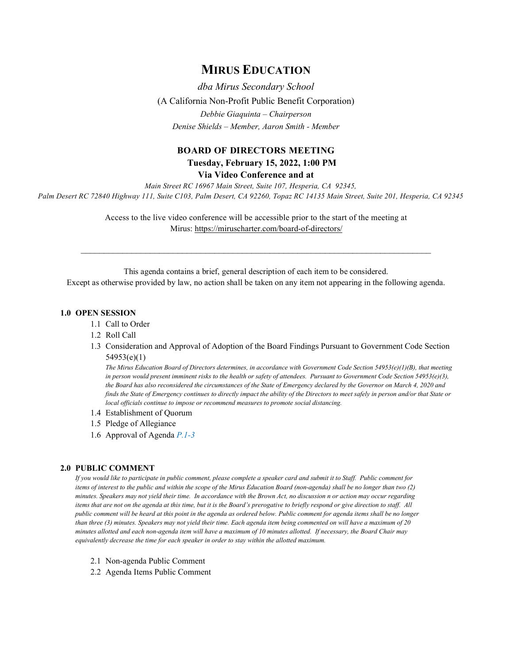# **MIRUS EDUCATION**

*dba Mirus Secondary School* (A California Non-Profit Public Benefit Corporation) *Debbie Giaquinta – Chairperson Denise Shields – Member, Aaron Smith - Member*

## **BOARD OF DIRECTORS MEETING Tuesday, February 15, 2022, 1:00 PM**

**Via Video Conference and at**

*Main Street RC 16967 Main Street, Suite 107, Hesperia, CA 92345, Palm Desert RC 72840 Highway 111, Suite C103, Palm Desert, CA 92260, Topaz RC 14135 Main Street, Suite 201, Hesperia, CA 92345*

> Access to the live video conference will be accessible prior to the start of the meeting at Mirus:<https://miruscharter.com/board-of-directors/>

 $\mathcal{L}_\text{max}$  , and the contribution of the contribution of the contribution of the contribution of the contribution of the contribution of the contribution of the contribution of the contribution of the contribution of t

This agenda contains a brief, general description of each item to be considered. Except as otherwise provided by law, no action shall be taken on any item not appearing in the following agenda.

## **1.0 OPEN SESSION**

- 1.1 Call to Order
- 1.2 Roll Call
- 1.3 Consideration and Approval of Adoption of the Board Findings Pursuant to Government Code Section 54953(e)(1)

*The Mirus Education Board of Directors determines, in accordance with Government Code Section 54953(e)(1)(B), that meeting in person would present imminent risks to the health or safety of attendees. Pursuant to Government Code Section 54953(e)(3), the Board has also reconsidered the circumstances of the State of Emergency declared by the Governor on March 4, 2020 and finds the State of Emergency continues to directly impact the ability of the Directors to meet safely in person and/or that State or local officials continue to impose or recommend measures to promote social distancing.*

- 1.4 Establishment of Quorum
- 1.5 Pledge of Allegiance
- 1.6 Approval of Agenda *P.1-3*

#### **2.0 PUBLIC COMMENT**

*If you would like to participate in public comment, please complete a speaker card and submit it to Staff. Public comment for items of interest to the public and within the scope of the Mirus Education Board (non-agenda) shall be no longer than two (2) minutes. Speakers may not yield their time. In accordance with the Brown Act, no discussion n or action may occur regarding items that are not on the agenda at this time, but it is the Board's prerogative to briefly respond or give direction to staff. All public comment will be heard at this point in the agenda as ordered below. Public comment for agenda items shall be no longer than three (3) minutes. Speakers may not yield their time. Each agenda item being commented on will have a maximum of 20 minutes allotted and each non-agenda item will have a maximum of 10 minutes allotted. If necessary, the Board Chair may equivalently decrease the time for each speaker in order to stay within the allotted maximum.*

- 2.1 Non-agenda Public Comment
- 2.2 Agenda Items Public Comment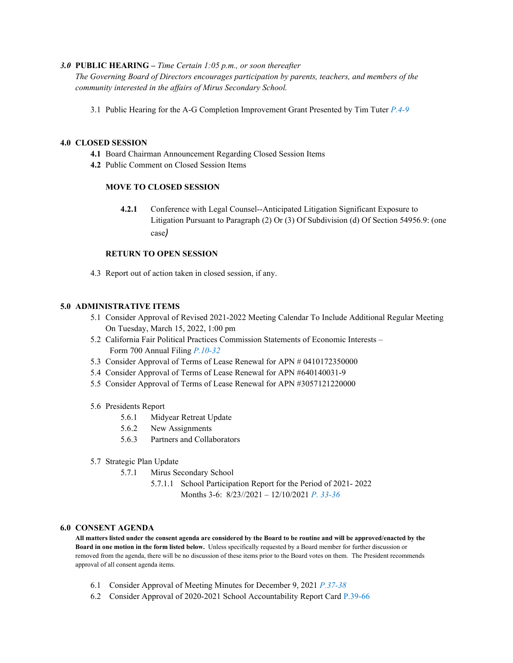### *3.0* **PUBLIC HEARING –** *Time Certain 1:05 p.m., or soon thereafter*

*The Governing Board of Directors encourages participation by parents, teachers, and members of the community interested in the affairs of Mirus Secondary School.*

3.1 Public Hearing for the A-G Completion Improvement Grant Presented by Tim Tuter *P.4-9*

### **4.0 CLOSED SESSION**

- **4.1** Board Chairman Announcement Regarding Closed Session Items
- **4.2** Public Comment on Closed Session Items

## **MOVE TO CLOSED SESSION**

**4.2.1** Conference with Legal Counsel--Anticipated Litigation Significant Exposure to Litigation Pursuant to Paragraph (2) Or (3) Of Subdivision (d) Of Section 54956.9: (one case*)*

#### **RETURN TO OPEN SESSION**

4.3 Report out of action taken in closed session, if any.

#### **5.0 ADMINISTRATIVE ITEMS**

- 5.1 Consider Approval of Revised 2021-2022 Meeting Calendar To Include Additional Regular Meeting On Tuesday, March 15, 2022, 1:00 pm
- 5.2 California Fair Political Practices Commission Statements of Economic Interests Form 700 Annual Filing *P.10-32*
- 5.3 Consider Approval of Terms of Lease Renewal for APN # 0410172350000
- 5.4 Consider Approval of Terms of Lease Renewal for APN #640140031-9
- 5.5 Consider Approval of Terms of Lease Renewal for APN #3057121220000

#### 5.6 Presidents Report

- 5.6.1 Midyear Retreat Update
- 5.6.2 New Assignments
- 5.6.3 Partners and Collaborators
- 5.7 Strategic Plan Update
	- 5.7.1 Mirus Secondary School
		- 5.7.1.1 School Participation Report for the Period of 2021- 2022 Months 3-6: 8/23//2021 – 12/10/2021 *P. 33-36*

#### **6.0 CONSENT AGENDA**

**All matters listed under the consent agenda are considered by the Board to be routine and will be approved/enacted by the Board in one motion in the form listed below.** Unless specifically requested by a Board member for further discussion or removed from the agenda, there will be no discussion of these items prior to the Board votes on them. The President recommends approval of all consent agenda items.

- 6.1 Consider Approval of Meeting Minutes for December 9, 2021 *P.37-38*
- 6.2 Consider Approval of 2020-2021 School Accountability Report Card P.39-66